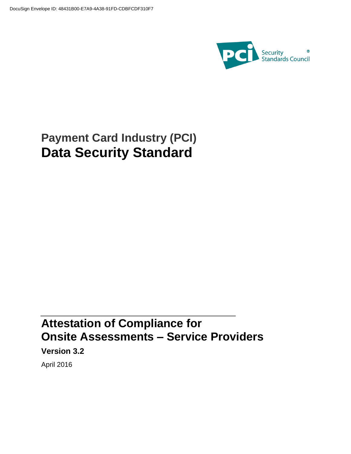

# **Payment Card Industry (PCI) Data Security Standard**

# **Attestation of Compliance for Onsite Assessments – Service Providers**

**Version 3.2**

April 2016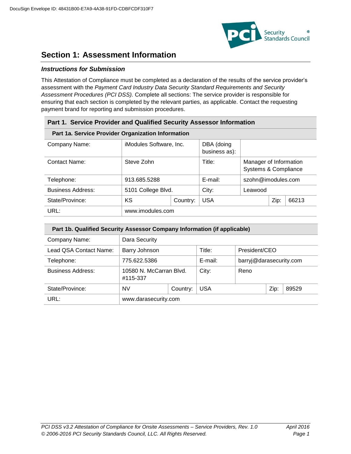

# **Section 1: Assessment Information**

# *Instructions for Submission*

This Attestation of Compliance must be completed as a declaration of the results of the service provider's assessment with the *Payment Card Industry Data Security Standard Requirements and Security Assessment Procedures (PCI DSS).* Complete all sections: The service provider is responsible for ensuring that each section is completed by the relevant parties, as applicable. Contact the requesting payment brand for reporting and submission procedures.

| Part 1. Service Provider and Qualified Security Assessor Information |                                |          |                             |                                                |      |       |  |  |
|----------------------------------------------------------------------|--------------------------------|----------|-----------------------------|------------------------------------------------|------|-------|--|--|
| Part 1a. Service Provider Organization Information                   |                                |          |                             |                                                |      |       |  |  |
| Company Name:                                                        | <i>iModules Software, Inc.</i> |          | DBA (doing<br>business as): |                                                |      |       |  |  |
| Contact Name:                                                        | Steve Zohn                     |          | Title:                      | Manager of Information<br>Systems & Compliance |      |       |  |  |
| Telephone:                                                           | 913.685.5288                   |          | E-mail:                     | szohn@imodules.com                             |      |       |  |  |
| <b>Business Address:</b>                                             | 5101 College Blvd.             |          | City:                       | Leawood                                        |      |       |  |  |
| State/Province:                                                      | KS                             | Country: | <b>USA</b>                  |                                                | Zip: | 66213 |  |  |
| URL:                                                                 | www.imodules.com               |          |                             |                                                |      |       |  |  |

| Part 1b. Qualified Security Assessor Company Information (if applicable) |                                     |                         |         |                         |       |  |  |  |
|--------------------------------------------------------------------------|-------------------------------------|-------------------------|---------|-------------------------|-------|--|--|--|
| Company Name:                                                            | Dara Security                       |                         |         |                         |       |  |  |  |
| Lead QSA Contact Name:                                                   | Barry Johnson                       | Title:<br>President/CEO |         |                         |       |  |  |  |
| Telephone:                                                               | 775.622.5386                        |                         | E-mail: | barryj@darasecurity.com |       |  |  |  |
| <b>Business Address:</b>                                                 | 10580 N. McCarran Blvd.<br>#115-337 |                         | City:   | Reno                    |       |  |  |  |
| State/Province:                                                          | <b>NV</b>                           | <b>USA</b><br>Country:  |         | Zip:                    | 89529 |  |  |  |
| URL:                                                                     | www.darasecurity.com                |                         |         |                         |       |  |  |  |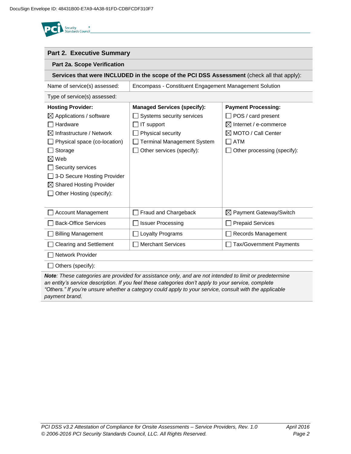

| <b>Part 2. Executive Summary</b>                                                           |                                    |                                    |  |  |  |  |  |
|--------------------------------------------------------------------------------------------|------------------------------------|------------------------------------|--|--|--|--|--|
| <b>Part 2a. Scope Verification</b>                                                         |                                    |                                    |  |  |  |  |  |
| Services that were INCLUDED in the scope of the PCI DSS Assessment (check all that apply): |                                    |                                    |  |  |  |  |  |
| Name of service(s) assessed:<br>Encompass - Constituent Engagement Management Solution     |                                    |                                    |  |  |  |  |  |
| Type of service(s) assessed:                                                               |                                    |                                    |  |  |  |  |  |
| <b>Hosting Provider:</b>                                                                   | <b>Managed Services (specify):</b> | <b>Payment Processing:</b>         |  |  |  |  |  |
| $\boxtimes$ Applications / software                                                        | Systems security services          | $\Box$ POS / card present          |  |  |  |  |  |
| Hardware                                                                                   | IT support                         | $\boxtimes$ Internet / e-commerce  |  |  |  |  |  |
| Infrastructure / Network                                                                   | Physical security                  | $\boxtimes$ MOTO / Call Center     |  |  |  |  |  |
| Physical space (co-location)                                                               | <b>Terminal Management System</b>  | <b>ATM</b>                         |  |  |  |  |  |
| Storage                                                                                    | Other services (specify):          | Other processing (specify):        |  |  |  |  |  |
| Web<br>⋈                                                                                   |                                    |                                    |  |  |  |  |  |
| Security services                                                                          |                                    |                                    |  |  |  |  |  |
| 3-D Secure Hosting Provider                                                                |                                    |                                    |  |  |  |  |  |
| <b>Shared Hosting Provider</b><br>⊠                                                        |                                    |                                    |  |  |  |  |  |
| Other Hosting (specify):                                                                   |                                    |                                    |  |  |  |  |  |
|                                                                                            |                                    |                                    |  |  |  |  |  |
| <b>Account Management</b>                                                                  | Fraud and Chargeback               | $\boxtimes$ Payment Gateway/Switch |  |  |  |  |  |
| <b>Back-Office Services</b>                                                                | <b>Issuer Processing</b>           | <b>Prepaid Services</b>            |  |  |  |  |  |
| <b>Billing Management</b>                                                                  | Loyalty Programs                   | Records Management                 |  |  |  |  |  |
| <b>Clearing and Settlement</b>                                                             | <b>Merchant Services</b>           | Tax/Government Payments            |  |  |  |  |  |
| <b>Network Provider</b>                                                                    |                                    |                                    |  |  |  |  |  |
| Others (specify):                                                                          |                                    |                                    |  |  |  |  |  |

*Note: These categories are provided for assistance only, and are not intended to limit or predetermine an entity's service description. If you feel these categories don't apply to your service, complete "Others." If you're unsure whether a category could apply to your service, consult with the applicable payment brand.*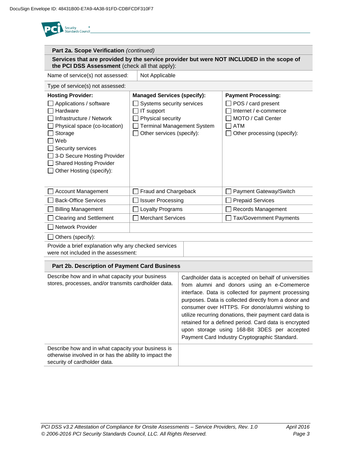<sup>®</sup><br>Standards Council **Part 2a. Scope Verification** *(continued)* **Services that are provided by the service provider but were NOT INCLUDED in the scope of the PCI DSS Assessment** (check all that apply): Name of service(s) not assessed:  $\Box$  Not Applicable Type of service(s) not assessed: **Hosting Provider: Payment Processing: Managed Services (specify):** Applications / software  $\Box$  Systems security services  $\Box$  POS / card present  $\Box$  Hardware  $\Box$  IT support Internet / e-commerce  $\Box$  Infrastructure / Network  $\Box$  Physical security MOTO / Call Center  $\Box$  Physical space (co-location) Terminal Management System  $\Box$  ATM Storage  $\Box$  Other services (specify):  $\Box$  Other processing (specify):  $\Box$  Web  $\Box$  Security services □ 3-D Secure Hosting Provider □ Shared Hosting Provider  $\Box$  Other Hosting (specify): □ Account Management Account Fraud and Chargeback Payment Gateway/Switch  $\Box$  Back-Office Services  $\Box$  Issuer Processing  $\Box$  Prepaid Services □ Billing Management All Loyalty Programs All Records Management **O Clearing and Settlement** Merchant Services All Tax/Government Payments **□ Network Provider** Others (specify): Provide a brief explanation why any checked services were not included in the assessment: **Part 2b. Description of Payment Card Business** Describe how and in what capacity your business Cardholder data is accepted on behalf of universities stores, processes, and/or transmits cardholder data. from alumni and donors using an e-Comemerce interface. Data is collected for payment processing purposes. Data is collected directly from a donor and

|                                                                                                                                              | utilize recurring donations, their payment card data is<br>retained for a defined period. Card data is encrypted<br>upon storage using 168-Bit 3DES per accepted<br>Payment Card Industry Cryptographic Standard. |
|----------------------------------------------------------------------------------------------------------------------------------------------|-------------------------------------------------------------------------------------------------------------------------------------------------------------------------------------------------------------------|
| Describe how and in what capacity your business is<br>otherwise involved in or has the ability to impact the<br>security of cardholder data. |                                                                                                                                                                                                                   |

consumer over HTTPS. For donor/alumni wishing to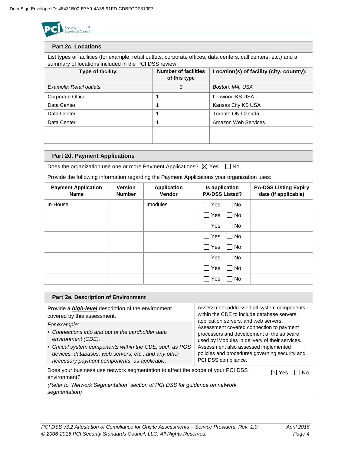

#### **Part 2c. Locations**

List types of facilities (for example, retail outlets, corporate offices, data centers, call centers, etc.) and a summary of locations included in the PCI DSS review.

| Type of facility:       | <b>Number of facilities</b><br>of this type | Location(s) of facility (city, country): |
|-------------------------|---------------------------------------------|------------------------------------------|
| Example: Retail outlets | 3                                           | Boston, MA, USA                          |
| Corporate Office        |                                             | Leawood KS USA                           |
| Data Center             |                                             | Kansas City KS USA                       |
| Data Center             |                                             | Toronto ON Canada                        |
| Data Center             |                                             | Amazon Web Services                      |
|                         |                                             |                                          |
|                         |                                             |                                          |

#### **Part 2d. Payment Applications**

Does the organization use one or more Payment Applications?  $\boxtimes$  Yes  $\Box$  No

Provide the following information regarding the Payment Applications your organization uses:

| <b>Payment Application</b><br><b>Name</b> | <b>Version</b><br><b>Number</b> | <b>Application</b><br><b>Vendor</b> | Is application<br><b>PA-DSS Listed?</b> | <b>PA-DSS Listing Expiry</b><br>date (if applicable) |
|-------------------------------------------|---------------------------------|-------------------------------------|-----------------------------------------|------------------------------------------------------|
| In-House                                  |                                 | <b>Imodules</b>                     | Yes<br>∩ No<br>$\mathcal{L}$            |                                                      |
|                                           |                                 |                                     | l IYes<br>l I No                        |                                                      |
|                                           |                                 |                                     | $\Box$ Yes<br>l No                      |                                                      |
|                                           |                                 |                                     | Yes<br>□ No<br>$\mathbf{I}$             |                                                      |
|                                           |                                 |                                     | $\Box$ Yes<br>l No                      |                                                      |
|                                           |                                 |                                     | Yes<br>□ No<br>$\mathbf{I}$             |                                                      |
|                                           |                                 |                                     | Yes<br>l No<br>$\blacksquare$           |                                                      |
|                                           |                                 |                                     | □ No<br>Yes<br>$\mathbf{I}$             |                                                      |

| Part 2e. Description of Environment                                                                                                                                                                                                                         |                                                                                                                                                                                                                                                                                                     |  |  |  |
|-------------------------------------------------------------------------------------------------------------------------------------------------------------------------------------------------------------------------------------------------------------|-----------------------------------------------------------------------------------------------------------------------------------------------------------------------------------------------------------------------------------------------------------------------------------------------------|--|--|--|
| Provide a <b>high-level</b> description of the environment<br>covered by this assessment.                                                                                                                                                                   | Assessment addressed all system components<br>within the CDE to include database servers.                                                                                                                                                                                                           |  |  |  |
| For example:<br>• Connections into and out of the cardholder data<br>environment (CDE).<br>• Critical system components within the CDE, such as POS<br>devices, databases, web servers, etc., and any other<br>necessary payment components, as applicable. | application servers, and web servers.<br>Assessment covered connection to payment<br>processors and development of the software<br>used by iModules in delivery of their services.<br>Assessment also assessed implemented<br>policies and procedures governing security and<br>PCI DSS compliance. |  |  |  |
| Does your business use network segmentation to affect the scope of your PCI DSS<br>environment?                                                                                                                                                             | $\boxtimes$ Yes<br>N٥                                                                                                                                                                                                                                                                               |  |  |  |
| (Refer to "Network Segmentation" section of PCI DSS for guidance on network<br>segmentation)                                                                                                                                                                |                                                                                                                                                                                                                                                                                                     |  |  |  |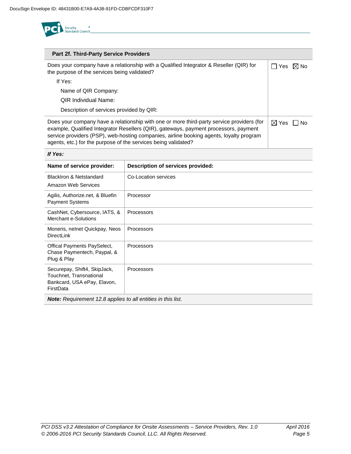

| Part 2f. Third-Party Service Providers                                                                                                                                                                                                                                                                                                         |                 |                |
|------------------------------------------------------------------------------------------------------------------------------------------------------------------------------------------------------------------------------------------------------------------------------------------------------------------------------------------------|-----------------|----------------|
| Does your company have a relationship with a Qualified Integrator & Reseller (QIR) for<br>the purpose of the services being validated?                                                                                                                                                                                                         | Yes             | $\boxtimes$ No |
| If Yes:                                                                                                                                                                                                                                                                                                                                        |                 |                |
| Name of QIR Company:                                                                                                                                                                                                                                                                                                                           |                 |                |
| <b>QIR Individual Name:</b>                                                                                                                                                                                                                                                                                                                    |                 |                |
| Description of services provided by QIR:                                                                                                                                                                                                                                                                                                       |                 |                |
| Does your company have a relationship with one or more third-party service providers (for<br>example, Qualified Integrator Resellers (QIR), gateways, payment processors, payment<br>service providers (PSP), web-hosting companies, airline booking agents, loyalty program<br>agents, etc.) for the purpose of the services being validated? | $\boxtimes$ Yes | l No           |

#### *If Yes:*

| Name of service provider:                                                                           | Description of services provided: |  |  |  |  |
|-----------------------------------------------------------------------------------------------------|-----------------------------------|--|--|--|--|
| <b>BlackIron &amp; Netstandard</b><br>Amazon Web Services                                           | Co-Location services              |  |  |  |  |
| Agilis, Authorize.net, & Bluefin<br><b>Payment Systems</b>                                          | Processor                         |  |  |  |  |
| CashNet, Cybersource, IATS, &<br>Merchant e-Solutions                                               | Processors                        |  |  |  |  |
| Moneris, nelnet Quickpay, Neos<br><b>DirectLink</b>                                                 | Processors                        |  |  |  |  |
| Offical Payments PaySelect,<br>Chase Paymentech, Paypal, &<br>Plug & Play                           | Processors                        |  |  |  |  |
| Securepay, Shift4, SkipJack,<br>Touchnet, Transnational<br>Bankcard, USA ePay, Elavon,<br>FirstData | Processors                        |  |  |  |  |
| <b>Note:</b> Requirement 12.8 applies to all entities in this list.                                 |                                   |  |  |  |  |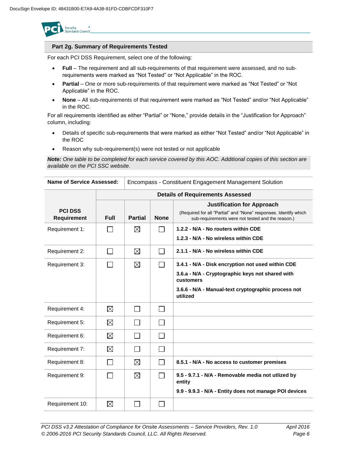

## **Part 2g. Summary of Requirements Tested**

For each PCI DSS Requirement, select one of the following:

- **Full** The requirement and all sub-requirements of that requirement were assessed, and no subrequirements were marked as "Not Tested" or "Not Applicable" in the ROC.
- **Partial** One or more sub-requirements of that requirement were marked as "Not Tested" or "Not Applicable" in the ROC.
- **None** All sub-requirements of that requirement were marked as "Not Tested" and/or "Not Applicable" in the ROC.

For all requirements identified as either "Partial" or "None," provide details in the "Justification for Approach" column, including:

- Details of specific sub-requirements that were marked as either "Not Tested" and/or "Not Applicable" in the ROC
- Reason why sub-requirement(s) were not tested or not applicable

*Note: One table to be completed for each service covered by this AOC. Additional copies of this section are available on the PCI SSC website*.

| Name of Service Assessed:     |             | Encompass - Constituent Engagement Management Solution |                |                                                                                                                                                                                       |  |  |
|-------------------------------|-------------|--------------------------------------------------------|----------------|---------------------------------------------------------------------------------------------------------------------------------------------------------------------------------------|--|--|
|                               |             | <b>Details of Requirements Assessed</b>                |                |                                                                                                                                                                                       |  |  |
| <b>PCI DSS</b><br>Requirement | <b>Full</b> | <b>Partial</b>                                         | <b>None</b>    | <b>Justification for Approach</b><br>(Required for all "Partial" and "None" responses. Identify which<br>sub-requirements were not tested and the reason.)                            |  |  |
| Requirement 1:                |             | ⊠                                                      |                | 1.2.2 - N/A - No routers within CDE<br>1.2.3 - N/A - No wireless within CDE                                                                                                           |  |  |
| Requirement 2:                |             | ⊠                                                      |                | 2.1.1 - N/A - No wireless within CDE                                                                                                                                                  |  |  |
| Requirement 3:                |             | ⊠                                                      |                | 3.4.1 - N/A - Disk encryption not used within CDE<br>3.6.a - N/A - Cryptographic keys not shared with<br>customers<br>3.6.6 - N/A - Manual-text cryptographic process not<br>utilized |  |  |
| Requirement 4:                | ⊠           | ΙI                                                     | $\mathsf{L}$   |                                                                                                                                                                                       |  |  |
| Requirement 5:                | $\boxtimes$ |                                                        | $\sim$         |                                                                                                                                                                                       |  |  |
| Requirement 6:                | ⊠           |                                                        |                |                                                                                                                                                                                       |  |  |
| Requirement 7:                | $\boxtimes$ |                                                        |                |                                                                                                                                                                                       |  |  |
| Requirement 8:                |             | $\boxtimes$                                            | $\sim$         | 8.5.1 - N/A - No access to customer premises                                                                                                                                          |  |  |
| Requirement 9:                |             | ⊠                                                      | $\sim$         | 9.5 - 9.7.1 - N/A - Removable media not utlized by<br>entity<br>9.9 - 9.9.3 - N/A - Entity does not manage POI devices                                                                |  |  |
| Requirement 10:               | ⊠           | $\sim$                                                 | $\mathbb{R}^n$ |                                                                                                                                                                                       |  |  |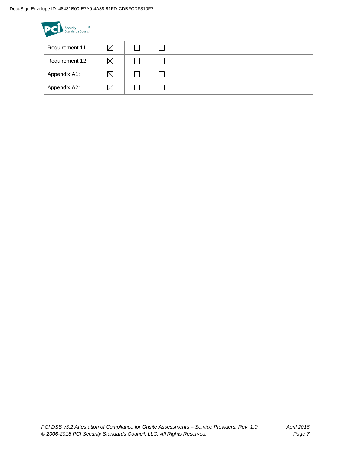| <b>PC</b> Security <b>Standards Council</b> |             |  |  |  |  |
|---------------------------------------------|-------------|--|--|--|--|
| Requirement 11:                             | $\boxtimes$ |  |  |  |  |
| Requirement 12:                             | $\boxtimes$ |  |  |  |  |
| Appendix A1:                                | $\boxtimes$ |  |  |  |  |
| Appendix A2:                                | $\boxtimes$ |  |  |  |  |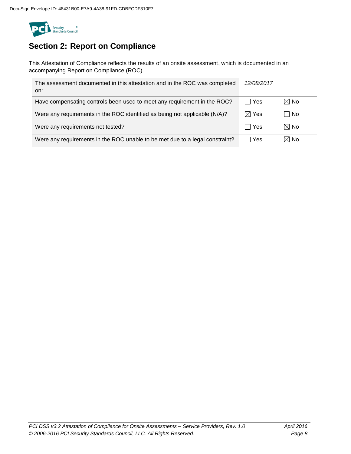

# **Section 2: Report on Compliance**

This Attestation of Compliance reflects the results of an onsite assessment, which is documented in an accompanying Report on Compliance (ROC).

| The assessment documented in this attestation and in the ROC was completed<br>on: | 12/08/2017      |                |
|-----------------------------------------------------------------------------------|-----------------|----------------|
| Have compensating controls been used to meet any requirement in the ROC?          | l Yes           | $\boxtimes$ No |
| Were any requirements in the ROC identified as being not applicable (N/A)?        | $\boxtimes$ Yes | l No           |
| Were any requirements not tested?                                                 | Yes             | $\boxtimes$ No |
| Were any requirements in the ROC unable to be met due to a legal constraint?      | Yes             | $\boxtimes$ No |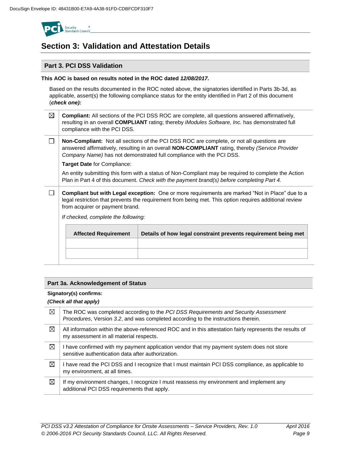

# **Section 3: Validation and Attestation Details**

# **Part 3. PCI DSS Validation**

## **This AOC is based on results noted in the ROC dated** *12/08/2017.*

Based on the results documented in the ROC noted above, the signatories identified in Parts 3b-3d, as applicable, assert(s) the following compliance status for the entity identified in Part 2 of this document (*check one):*

- ⊠ **Compliant:** All sections of the PCI DSS ROC are complete, all questions answered affirmatively, resulting in an overall **COMPLIANT** rating; thereby *iModules Software, Inc.* has demonstrated full compliance with the PCI DSS.
- $\Box$ **Non-Compliant:** Not all sections of the PCI DSS ROC are complete, or not all questions are answered affirmatively, resulting in an overall **NON-COMPLIANT** rating, thereby *(Service Provider Company Name)* has not demonstrated full compliance with the PCI DSS.

**Target Date** for Compliance:

An entity submitting this form with a status of Non-Compliant may be required to complete the Action Plan in Part 4 of this document. *Check with the payment brand(s) before completing Part 4.*

 $\Box$ **Compliant but with Legal exception:** One or more requirements are marked "Not in Place" due to a legal restriction that prevents the requirement from being met. This option requires additional review from acquirer or payment brand.

*If checked, complete the following:*

| <b>Affected Requirement</b> | Details of how legal constraint prevents requirement being met |
|-----------------------------|----------------------------------------------------------------|
|                             |                                                                |
|                             |                                                                |
|                             |                                                                |

# **Part 3a. Acknowledgement of Status**

## **Signatory(s) confirms:**

## *(Check all that apply)*

| ⊠ | The ROC was completed according to the PCI DSS Requirements and Security Assessment<br>Procedures, Version 3.2, and was completed according to the instructions therein. |
|---|--------------------------------------------------------------------------------------------------------------------------------------------------------------------------|
| ⊠ | All information within the above-referenced ROC and in this attestation fairly represents the results of<br>my assessment in all material respects.                      |
| ⊠ | I have confirmed with my payment application vendor that my payment system does not store<br>sensitive authentication data after authorization.                          |
| ⊠ | I have read the PCI DSS and I recognize that I must maintain PCI DSS compliance, as applicable to<br>my environment, at all times.                                       |
| ⊠ | If my environment changes, I recognize I must reassess my environment and implement any<br>additional PCI DSS requirements that apply.                                   |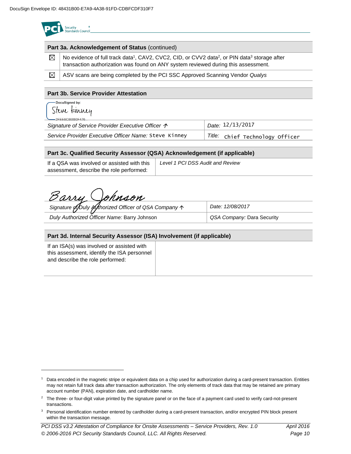|  | <b>Security</b>          |  |
|--|--------------------------|--|
|  | <b>Standards Council</b> |  |
|  |                          |  |

| Part 3a. Acknowledgement of Status (continued) |                                                                                                                                                                                                                         |  |
|------------------------------------------------|-------------------------------------------------------------------------------------------------------------------------------------------------------------------------------------------------------------------------|--|
| ⊠                                              | No evidence of full track data <sup>1</sup> , CAV2, CVC2, CID, or CVV2 data <sup>2</sup> , or PIN data <sup>3</sup> storage after<br>transaction authorization was found on ANY system reviewed during this assessment. |  |
| $\boxtimes$                                    | ASV scans are being completed by the PCI SSC Approved Scanning Vendor Qualys                                                                                                                                            |  |
|                                                |                                                                                                                                                                                                                         |  |
| <b>Part 3b. Service Provider Attestation</b>   |                                                                                                                                                                                                                         |  |

## **Part 3b. Service Provider Attestation**

| DocuSigned by:<br>Steve kinney<br>$-2$ FFF6C86880F476      |                  |
|------------------------------------------------------------|------------------|
| Signature of Service Provider Executive Officer $\uparrow$ | Date: 12/13/2017 |
|                                                            |                  |

Service Provider Executive Officer Name: Steve Kinney | Title: Title: Chief Technology Officer

## **Part 3c. Qualified Security Assessor (QSA) Acknowledgement (if applicable)**

| If a QSA was involved or assisted with this | Level 1 PCI DSS Audit and Review |
|---------------------------------------------|----------------------------------|
| assessment, describe the role performed:    |                                  |

Barry Johnson

| Signature of Duly Kythorized Officer of QSA Company 1 | Date: 12/08/2017           |
|-------------------------------------------------------|----------------------------|
| Duly Authorized Officer Name: Barry Johnson           | QSA Company: Dara Security |

# **Part 3d. Internal Security Assessor (ISA) Involvement (if applicable)**

If an ISA(s) was involved or assisted with this assessment, identify the ISA personnel and describe the role performed:

l

<sup>1</sup> Data encoded in the magnetic stripe or equivalent data on a chip used for authorization during a card-present transaction. Entities may not retain full track data after transaction authorization. The only elements of track data that may be retained are primary account number (PAN), expiration date, and cardholder name.

 $2$  The three- or four-digit value printed by the signature panel or on the face of a payment card used to verify card-not-present transactions.

<sup>&</sup>lt;sup>3</sup> Personal identification number entered by cardholder during a card-present transaction, and/or encrypted PIN block present within the transaction message.